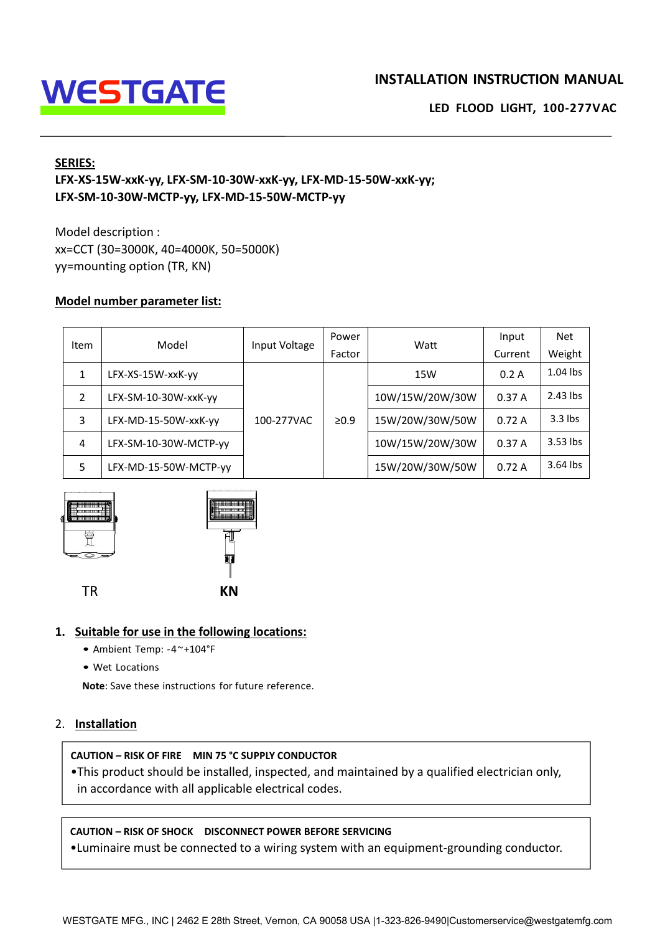

# **INSTALLATION INSTRUCTION MANUAL<br>LED FLOOD LIGHT, 100-277VAC LED FLOOD LIGHT, 100-277VAC**

## **SERIES:**

# **LED FLOOD LIGHT WATER CONTROLL ATTER WATER WATERS:**<br>
LED FLOOD LIGHT, 100-<br>
LED FLOOD LIGHT, 100-<br>
LEX-XS-15W-xxK-yy, LFX-SM-10-30W-xxK-yy, LFX-MD-15-50W-xxK-yy;<br>
LEX-SM-10-30W-MCTP-yy, LFX-MD-15-50W-MCTP-yy<br>
Model descri **LED TO ATE:**<br>
LED FL<br>
LED FL<br>
LEX-XS-15W-xxK-yy, LFX-SM-10-30W-xxK-yy, LFX-MD-15-50W-xxK-yy;<br>
LFX-SM-10-30W-MCTP-yy, LFX-MD-15-50W-MCTP-yy<br>
Model description :<br>
XX=CCT (30=3000K, 40=4000K, 50=5000K)<br>
Vy-mounting option (T **WESTGATE**<br>
SERIES:<br>
LFX-XS-15W-xxK-yy, LFX-SM-10-30W-xxK-yy, LFX-MD-15-50W-xxK-y<br>
LFX-SM-10-30W-MCTP-yy, LFX-MD-15-50W-MCTP-yy<br>
Model description :<br>
xx=CCT (30=3000K, 40=4000K, 50=5000K)<br>
yy=mounting option (TR, KN)<br>
Mode INSTALLATION IN<br>
SERIES:<br>
LFX-XS-15W-xxK-yy, LFX-SM-10-30W-xxK-yy, LFX-MD-15-50W-xxK-yy;<br>
LFX-SM-10-30W-MCTP-yy, LFX-MD-15-50W-MCTP-yy<br>
Model description :<br>
xx=CCT (30=3000K, 40=4000K, 50=5000K)<br>
yy=mounting option (TR, KN INSTALLATIO<br>
SERIES:<br>
LFX-XS-15W-xxK-yy, LFX-SM-10-30W-xxK-yy, LFX-MD-15-50W-xxK-yy;<br>
LFX-SM-10-30W-MCTP-yy, LFX-MD-15-50W-MCTP-yy<br>
Model description :<br>
xx=CCT (30=3000K, 40=4000K, 50=5000K)<br>
yy=mounting option (TR, KN)<br>
M

| LFX-XS-15W-xxK-yy, LFX-SM-10-30W-xxK-yy, LFX-MD-15-50W-xxK-yy;<br>LFX-SM-10-30W-MCTP-yy, LFX-MD-15-50W-MCTP-yy |                                                                                                                             |               |                 |                 |                  |               |
|----------------------------------------------------------------------------------------------------------------|-----------------------------------------------------------------------------------------------------------------------------|---------------|-----------------|-----------------|------------------|---------------|
|                                                                                                                | Model description :<br>xx=CCT (30=3000K, 40=4000K, 50=5000K)<br>yy=mounting option (TR, KN)<br>Model number parameter list: |               |                 |                 |                  |               |
| Item                                                                                                           | Model                                                                                                                       | Input Voltage | Power<br>Factor | Watt            | Input<br>Current | Net<br>Weight |
| $\mathbf{1}$                                                                                                   | LFX-XS-15W-xxK-yy                                                                                                           |               |                 | <b>15W</b>      | 0.2A             | 1.04 lbs      |
|                                                                                                                |                                                                                                                             |               |                 | 10W/15W/20W/30W | 0.37A            | 2.43 lbs      |
| $\overline{2}$                                                                                                 | LFX-SM-10-30W-xxK-yy                                                                                                        |               |                 |                 |                  |               |
| 3                                                                                                              | LFX-MD-15-50W-xxK-yy                                                                                                        | 100-277VAC    | $\geq 0.9$      | 15W/20W/30W/50W | 0.72A            | $3.3$ lbs     |
| 4                                                                                                              | LFX-SM-10-30W-MCTP-yy                                                                                                       |               |                 | 10W/15W/20W/30W | 0.37A            | 3.53 lbs      |



- 
- 

# 2. **Installation**

**CAUTION – RISK OF FIRE THE SUPPLY CONDUCTOR**<br> **CAUTION – RISK OF FIRE MIN 75 °C SUPPLY CONDUCTOR**<br> **CAUTION – RISK OF FIRE MIN 75 °C SUPPLY CONDUCTOR**<br> **CAUTION – RISK OF FIRE MIN 75 °C SUPPLY CONDUCTOR**<br> **CAUTION – RISK** FR<br>
• Ambient Temp: -4~+104\*F<br>
• Wet Locations<br>
• Note: Save these instructions for future reference.<br> **Installation**<br>
• CAUTION – RISK OF FIRE MIN 75 °C SUPPLY CONDUCTOR<br>
• This product should be installed, inspected, an Suitable for use in the following locations:<br>
• Ambient Temp: -4~+104°F<br>
• Wet Locations<br>
Note: Save these instructions for future reference.<br>
Installation<br>
AUTION – RISK OF FIRE MIN 75 °C SUPPLY CONDUCTOR<br>
This product sh **CAUTION – RISK OF FIRE MIN 75 °C SUPPLY CONDUCTOR**<br> **CAUTION – RISK OF FIRE MIN 75 °C SUPPLY CONDUCTOR**<br> **CAUTION – RISK OF FIRE MIN 75 °C SUPPLY CONDUCTOR**<br> **CAUTION – RISK OF SHOCK DISCONNECT POWER BEFORE SERVICING**<br> **C** • Wet Locations<br>• Note: Save these instructions for future reference.<br> **Installation**<br>
• This product should be installed, inspected, and maintained by a qualified electrician only,<br>
• in accordance with all applicable ele •This product should be installed, inspected, and maintained by a qualified electrician only,<br>in accordance with all applicable electrical codes.<br>CAUTION – RISK OF SHOCK DISCONNECT POWER BEFORE SERVICING<br>•Luminaire must be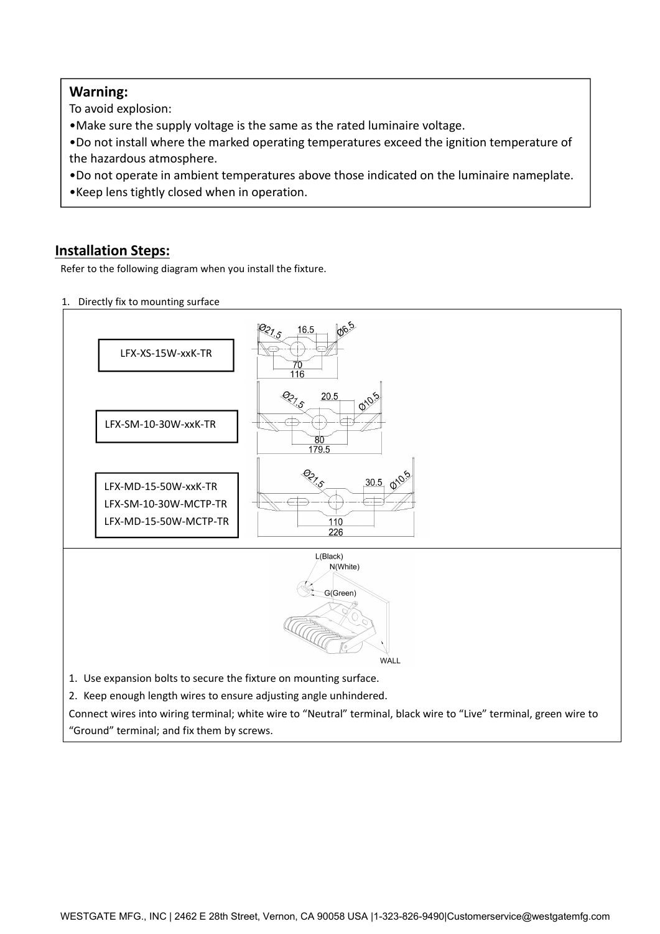# **Warning:**

**IVarning:**<br> **IDENTIFY:**<br> **IDENTIFY:**<br> **IDENTIFY:**<br> **IDENTIFY:**<br> **IDENTIFY:**<br> **IDENTIFY:**<br> **IDENTIFY:**<br> **IDENTIFY:**<br> **IDENTIFY:**<br> **IDENTIFY:**<br> **IDENTIFY:**<br> **IDENTIFY:**<br> **INSTEDS:**<br> **INSTEDS:**<br> **INSTEDS:**<br> **Refer to the fol** Franklington:<br>
•Make sure the supply voltage is the same as the rated luminaire voltage.<br>
•Do not install where the marked operating temperatures exceed the ignition temp<br>
the hazardous atmosphere.<br>
•Do not operate in ambi Warning:<br>
To avoid explosion:<br>
• Make sure the supply voltage is the same as the rated lur<br>
• Do not install where the marked operating temperatures<br>
the hazardous atmosphere.<br>
• Do not operate in ambient temperatures abov **Warning:**<br>•Make sure the supply voltage is the same as the rated luminaire voltage.<br>•Do not install where the marked operating temperatures exceed the ignition temperature of<br>•Do not operate in ambient temperatures above **Warning:**<br>•Make sure the supply voltage is the same as the rated luminaire voltage.<br>•Do not install where the marked operating temperatures exceed the ignition temperature of<br>•Do not operate in ambient temperatures above Warning:<br>To avoid explosion:<br>•Make sure the supply voltage is the same as the rated luminaire<br>•Do not install where the marked operating temperatures excee<br>the hazardous atmosphere.<br>•Do not operate in ambient temperatures **Varning:**<br>
To avoid explosion:<br> **•**Nake sure the supply voltage is the same as the rated luminaire voltage.<br> **•Do** not istall where the marked operating temperatures exceed the ignition temperature of<br> **•** the hazardous a Warning:<br>
To avoid explosion:<br>
•Make sure the supply voltage is the same as the rated luminaire voltage.<br>
•Do not install where the marked operating temperatures exceed the ignition temp<br>
•Do not operate in ambient tempera

- 
-